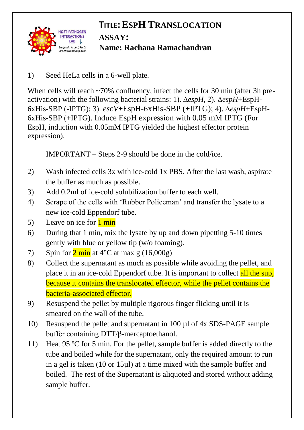

## **TITLE:ESPH TRANSLOCATION ASSAY: Name: Rachana Ramachandran**

1) Seed HeLa cells in a 6-well plate.

When cells will reach ~70% confluency, infect the cells for 30 min (after 3h preactivation) with the following bacterial strains: 1). ∆*espH*, 2). ∆*espH*+EspH-6xHis-SBP (-IPTG); 3). *escV*+EspH-6xHis-SBP (+IPTG); 4). ∆*espH*+EspH-6xHis-SBP (+IPTG). Induce EspH expression with 0.05 mM IPTG (For EspH, induction with 0.05mM IPTG yielded the highest effector protein expression).

IMPORTANT – Steps 2-9 should be done in the cold/ice.

- 2) Wash infected cells 3x with ice-cold 1x PBS. After the last wash, aspirate the buffer as much as possible.
- 3) Add 0.2ml of ice-cold solubilization buffer to each well.
- 4) Scrape of the cells with 'Rubber Policeman' and transfer the lysate to a new ice-cold Eppendorf tube.
- 5) Leave on ice for  $1 \text{ min}$
- 6) During that 1 min, mix the lysate by up and down pipetting 5-10 times gently with blue or yellow tip (w/o foaming).
- 7) Spin for  $2 \text{ min}$  at  $4^{\circ}$ C at max g (16,000g)
- 8) Collect the supernatant as much as possible while avoiding the pellet, and place it in an ice-cold Eppendorf tube. It is important to collect all the sup, because it contains the translocated effector, while the pellet contains the bacteria-associated effector.
- 9) Resuspend the pellet by multiple rigorous finger flicking until it is smeared on the wall of the tube.
- 10) Resuspend the pellet and supernatant in 100 µl of 4x SDS-PAGE sample buffer containing DTT/β-mercaptoethanol.
- 11) Heat 95 ºC for 5 min. For the pellet, sample buffer is added directly to the tube and boiled while for the supernatant, only the required amount to run in a gel is taken (10 or 15µl) at a time mixed with the sample buffer and boiled. The rest of the Supernatant is aliquoted and stored without adding sample buffer.